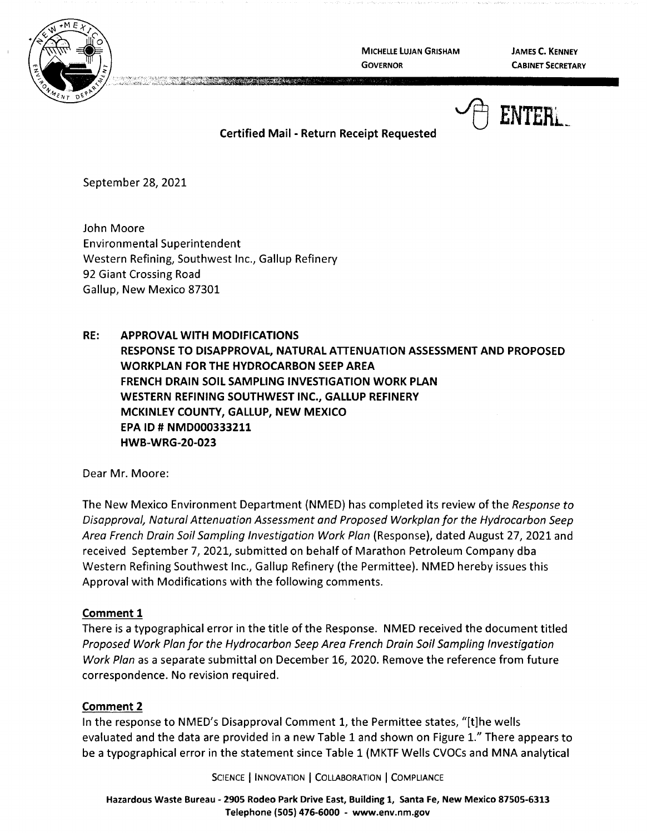

**MICHELLE LUJAN GRISHAM GOVERNOR** 

**JAMES C. KENNEY CABINET SECRETARY** 



# **Certified Mail** - **Return Receipt Requested**

September 28, 2021

John Moore Environmental Superintendent Western Refining, Southwest Inc., Gallup Refinery 92 Giant Crossing Road Gallup, New Mexico 87301

**RE: APPROVAL WITH MODIFICATIONS RESPONSE TO DISAPPROVAL, NATURAL ATTENUATION ASSESSMENT AND PROPOSED WORKPLAN FOR THE HYDROCARBON SEEP AREA FRENCH DRAIN SOIL SAMPLING INVESTIGATION WORK PLAN WESTERN REFINING SOUTHWEST INC., GALLUP REFINERY MCKINLEY COUNTY, GALLUP, NEW MEXICO EPA ID# NMD000333211 HWB-WRG-20-023** 

Dear Mr. Moore:

The New Mexico Environment Department (NMED) has completed its review of the Response to Disapproval, Natural Attenuation Assessment and Proposed Workplan for the Hydrocarbon Seep Area French Drain Soil Sampling Investigation Work Plan (Response), dated August 27, 2021 and received September 7, 2021, submitted on behalf of Marathon Petroleum Company dba Western Refining Southwest Inc., Gallup Refinery (the Permittee). NMED hereby issues this Approval with Modifications with the following comments.

#### **Comment 1**

There is a typographical error in the title of the Response. NMED received the document titled Proposed Work Plan for the Hydrocarbon Seep Area French Drain Soil Sampling Investigation Work Plan as a separate submittal on December 16, 2020. Remove the reference from future correspondence. No revision required.

## **Comment 2**

In the response to NMED's Disapproval Comment 1, the Permittee states, "[t]he wells evaluated and the data are provided in a new Table 1 and shown on Figure 1." There appears to be a typographical error in the statement since Table 1 (MKTF Wells CVOCs and MNA analytical

SCIENCE | INNOVATION | COLLABORATION | COMPLIANCE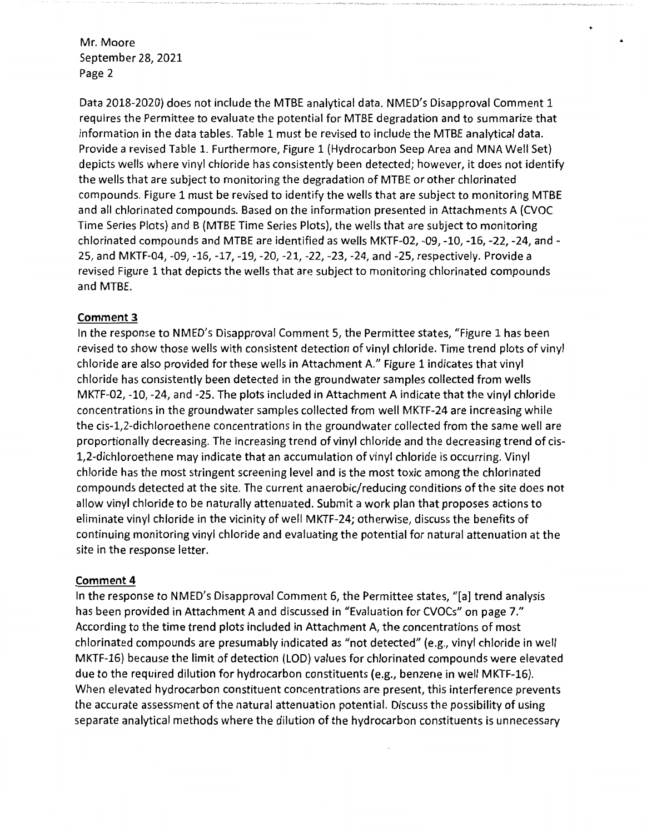Mr. Moore September 28, 2021 Page 2

Data 2018-2020) does not include the MTBE analytical data. NMED's Disapproval Comment 1 requires the Permittee to evaluate the potential for MTBE degradation and to summarize that information in the data tables. Table 1 must be revised to include the MTBE analytical data. Provide a revised Table 1. Furthermore, Figure 1 (Hydrocarbon Seep Area and MNA Well Set) depicts wells where vinyl chloride has consistently been detected; however, it does not identify the wells that are subject to monitoring the degradation of MTBE or other chlorinated compounds. Figure 1 must be revised to identify the wells that are subject to monitoring MTBE and all chlorinated compounds. Based on the information presented in Attachments A (CVOC Time Series Plots) and B (MTBE Time Series Plots), the wells that are subject to monitoring chlorinated compounds and MTBE are identified as wells MKTF-02, -09, -10, -16, -22, -24, and - 25, and MKTF-04, -09, -16, -17, -19, -20, -21, -22, -23, -24, and -25, respectively. Provide a revised Figure 1 that depicts the wells that are subject to monitoring chlorinated compounds and MTBE.

•

## **Comment 3**

In the response to NMED's Disapproval Comment 5, the Permittee states, "Figure 1 has been revised to show those wells with consistent detection of vinyl chloride. Time trend plots of vinyl chloride are also provided for these wells in Attachment A." Figure 1 indicates that vinyl chloride has consistently been detected in the groundwater samples collected from wells MKTF-02, -10, -24, and -25. The plots included in Attachment A indicate that the vinyl chloride concentrations in the groundwater samples collected from well MKTF-24 are increasing while the cis-1,2-dichloroethene concentrations in the groundwater collected from the same well are proportionally decreasing. The increasing trend of vinyl chloride and the decreasing trend of cis-1,2-dichloroethene may indicate that an accumulation of vinyl chloride is occurring. Vinyl chloride has the most stringent screening level and is the most toxic among the chlorinated compounds detected at the site. The current anaerobic/reducing conditions of the site does not allow vinyl chloride to be naturally attenuated. Submit a work plan that proposes actions to eliminate vinyl chloride in the vicinity of well MKTF-24; otherwise, discuss the benefits of continuing monitoring vinyl chloride and evaluating the potential for natural attenuation at the site in the response letter.

#### **Comment 4**

In the response to NMED's Disapproval Comment 6, the Permittee states, "[a] trend analysis has been provided in Attachment A and discussed in "Evaluation for CVOCs" on page 7." According to the time trend plots included in Attachment A, the concentrations of most chlorinated compounds are presumably indicated as "not detected" (e.g., vinyl chloride in well MKTF-16) because the limit of detection (LOD) values for chlorinated compounds were elevated due to the required dilution for hydrocarbon constituents (e.g., benzene in well MKTF-16). When elevated hydrocarbon constituent concentrations are present, this interference prevents the accurate assessment of the natural attenuation potential. Discuss the possibility of using separate analytical methods where the dilution of the hydrocarbon constituents is unnecessary